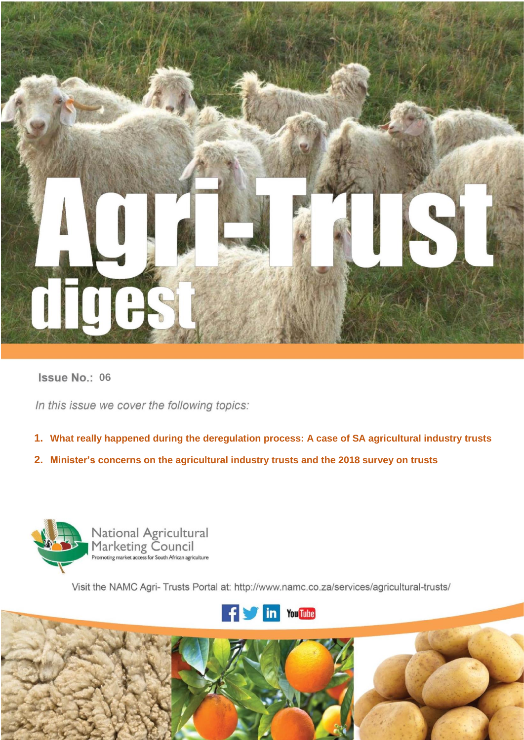

# **06 06**

In this issue we cover the following topics:

- **1 What really happened during the deregulation process: A case of SA agricultural industry trusts 1. What really happened during the deregulation process: A case of SA agricultural industry trusts**
- **. 2. Minister's concerns on the agricultural industry trusts and the 2018 survey on trusts**



Visit the NAMC Agri- Trusts Portal at: http://www.namc.co.za/services/agricultural-trusts/



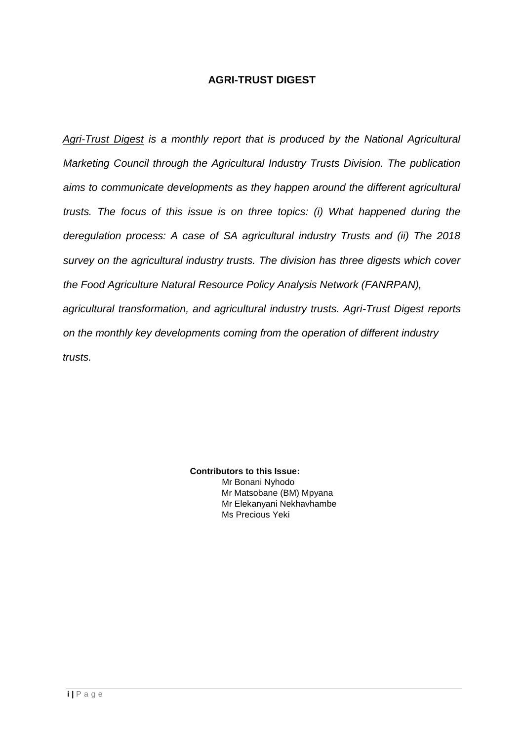## **AGRI-TRUST DIGEST**

*Agri-Trust Digest is a monthly report that is produced by the National Agricultural Marketing Council through the Agricultural Industry Trusts Division. The publication aims to communicate developments as they happen around the different agricultural trusts. The focus of this issue is on three topics: (i) What happened during the deregulation process: A case of SA agricultural industry Trusts and (ii) The 2018 survey on the agricultural industry trusts. The division has three digests which cover the Food Agriculture Natural Resource Policy Analysis Network (FANRPAN), agricultural transformation, and agricultural industry trusts. Agri-Trust Digest reports on the monthly key developments coming from the operation of different industry trusts.* 

> **Contributors to this Issue:**  Mr Bonani Nyhodo Mr Matsobane (BM) Mpyana Mr Elekanyani Nekhavhambe Ms Precious Yeki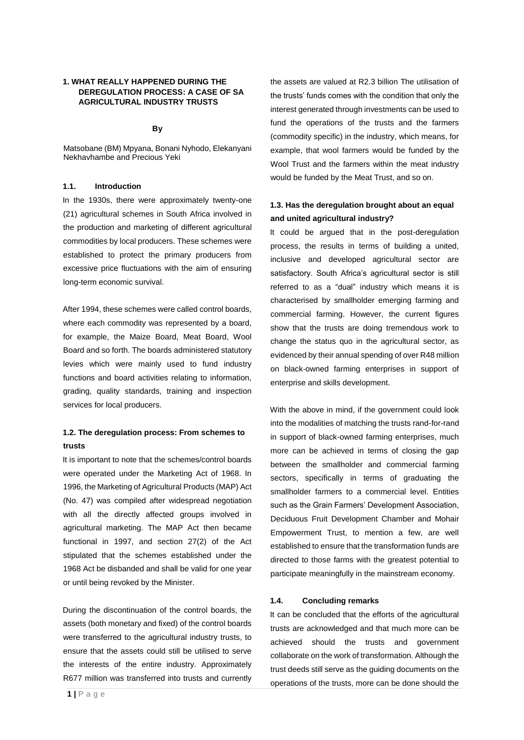#### **1. WHAT REALLY HAPPENED DURING THE DEREGULATION PROCESS: A CASE OF SA AGRICULTURAL INDUSTRY TRUSTS**

#### **By**

Matsobane (BM) Mpyana, Bonani Nyhodo, Elekanyani Nekhavhambe and Precious Yeki

#### **1.1. Introduction**

In the 1930s, there were approximately twenty-one (21) agricultural schemes in South Africa involved in the production and marketing of different agricultural commodities by local producers. These schemes were established to protect the primary producers from excessive price fluctuations with the aim of ensuring long-term economic survival.

After 1994, these schemes were called control boards, where each commodity was represented by a board, for example, the Maize Board, Meat Board, Wool Board and so forth. The boards administered statutory levies which were mainly used to fund industry functions and board activities relating to information, grading, quality standards, training and inspection services for local producers.

### **1.2. The deregulation process: From schemes to trusts**

It is important to note that the schemes/control boards were operated under the Marketing Act of 1968. In 1996, the Marketing of Agricultural Products (MAP) Act (No. 47) was compiled after widespread negotiation with all the directly affected groups involved in agricultural marketing. The MAP Act then became functional in 1997, and section 27(2) of the Act stipulated that the schemes established under the 1968 Act be disbanded and shall be valid for one year or until being revoked by the Minister.

During the discontinuation of the control boards, the assets (both monetary and fixed) of the control boards were transferred to the agricultural industry trusts, to ensure that the assets could still be utilised to serve the interests of the entire industry. Approximately R677 million was transferred into trusts and currently

the assets are valued at R2.3 billion The utilisation of the trusts' funds comes with the condition that only the interest generated through investments can be used to fund the operations of the trusts and the farmers (commodity specific) in the industry, which means, for example, that wool farmers would be funded by the Wool Trust and the farmers within the meat industry would be funded by the Meat Trust, and so on.

## **1.3. Has the deregulation brought about an equal and united agricultural industry?**

It could be argued that in the post-deregulation process, the results in terms of building a united, inclusive and developed agricultural sector are satisfactory. South Africa's agricultural sector is still referred to as a "dual" industry which means it is characterised by smallholder emerging farming and commercial farming. However, the current figures show that the trusts are doing tremendous work to change the status quo in the agricultural sector, as evidenced by their annual spending of over R48 million on black-owned farming enterprises in support of enterprise and skills development.

With the above in mind, if the government could look into the modalities of matching the trusts rand-for-rand in support of black-owned farming enterprises, much more can be achieved in terms of closing the gap between the smallholder and commercial farming sectors, specifically in terms of graduating the smallholder farmers to a commercial level. Entities such as the Grain Farmers' Development Association, Deciduous Fruit Development Chamber and Mohair Empowerment Trust, to mention a few, are well established to ensure that the transformation funds are directed to those farms with the greatest potential to participate meaningfully in the mainstream economy.

#### **1.4. Concluding remarks**

It can be concluded that the efforts of the agricultural trusts are acknowledged and that much more can be achieved should the trusts and government collaborate on the work of transformation. Although the trust deeds still serve as the guiding documents on the operations of the trusts, more can be done should the